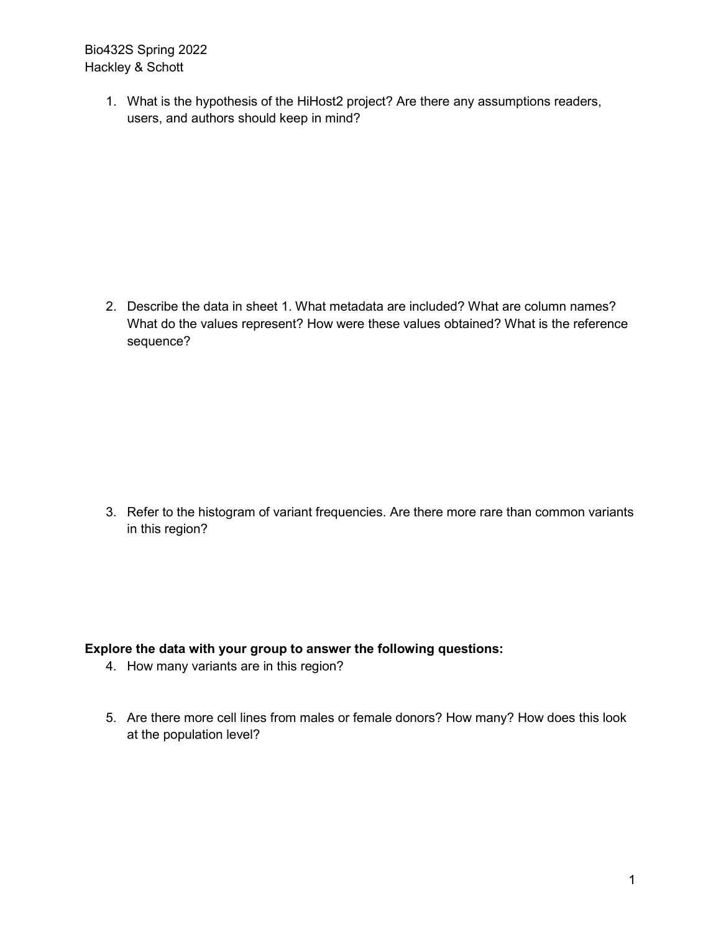Bio432S Spring 2022 Hackley & Schott

> 1. What is the hypothesis of the HiHost2 project? Are there any assumptions readers, users, and authors should keep in mind?

2. Describe the data in sheet 1. What metadata are included? What are column names? What do the values represent? How were these values obtained? What is the reference sequence?

3. Refer to the histogram of variant frequencies. Are there more rare than common variants in this region?

## **Explore the data with your group to answer the following questions:**

- 4. How many variants are in this region?
- 5. Are there more cell lines from males or female donors? How many? How does this look at the population level?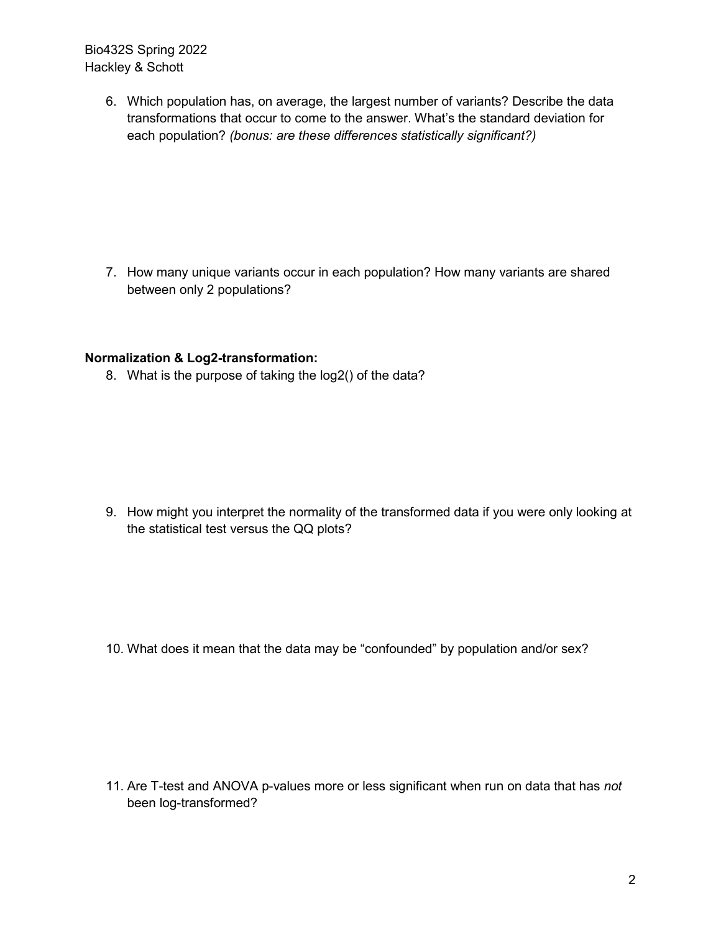Bio432S Spring 2022 Hackley & Schott

> 6. Which population has, on average, the largest number of variants? Describe the data transformations that occur to come to the answer. What's the standard deviation for each population? *(bonus: are these differences statistically significant?)*

> 7. How many unique variants occur in each population? How many variants are shared between only 2 populations?

## **Normalization & Log2-transformation:**

8. What is the purpose of taking the log2() of the data?

9. How might you interpret the normality of the transformed data if you were only looking at the statistical test versus the QQ plots?

10. What does it mean that the data may be "confounded" by population and/or sex?

11. Are T-test and ANOVA p-values more or less significant when run on data that has *not*  been log-transformed?